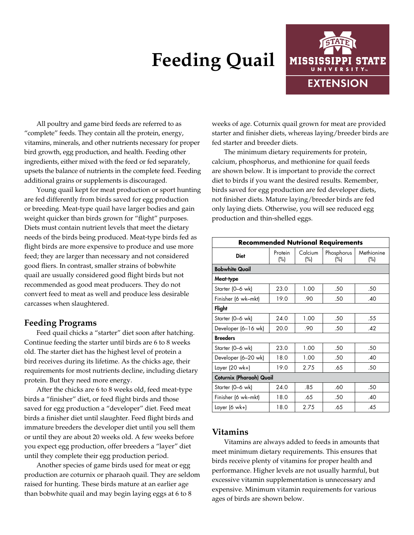# **Feeding Quail**



All poultry and game bird feeds are referred to as "complete" feeds. They contain all the protein, energy, vitamins, minerals, and other nutrients necessary for proper bird growth, egg production, and health. Feeding other ingredients, either mixed with the feed or fed separately, upsets the balance of nutrients in the complete feed. Feeding additional grains or supplements is discouraged.

Young quail kept for meat production or sport hunting are fed differently from birds saved for egg production or breeding. Meat-type quail have larger bodies and gain weight quicker than birds grown for "flight" purposes. Diets must contain nutrient levels that meet the dietary needs of the birds being produced. Meat-type birds fed as flight birds are more expensive to produce and use more feed; they are larger than necessary and not considered good fliers. In contrast, smaller strains of bobwhite quail are usually considered good flight birds but not recommended as good meat producers. They do not convert feed to meat as well and produce less desirable carcasses when slaughtered.

## **Feeding Programs**

Feed quail chicks a "starter" diet soon after hatching. Continue feeding the starter until birds are 6 to 8 weeks old. The starter diet has the highest level of protein a bird receives during its lifetime. As the chicks age, their requirements for most nutrients decline, including dietary protein. But they need more energy.

After the chicks are 6 to 8 weeks old, feed meat-type birds a "finisher" diet, or feed flight birds and those saved for egg production a "developer" diet. Feed meat birds a finisher diet until slaughter. Feed flight birds and immature breeders the developer diet until you sell them or until they are about 20 weeks old. A few weeks before you expect egg production, offer breeders a "layer" diet until they complete their egg production period.

Another species of game birds used for meat or egg production are coturnix or pharaoh quail. They are seldom raised for hunting. These birds mature at an earlier age than bobwhite quail and may begin laying eggs at 6 to 8

weeks of age. Coturnix quail grown for meat are provided starter and finisher diets, whereas laying/breeder birds are fed starter and breeder diets.

The minimum dietary requirements for protein, calcium, phosphorus, and methionine for quail feeds are shown below. It is important to provide the correct diet to birds if you want the desired results. Remember, birds saved for egg production are fed developer diets, not finisher diets. Mature laying/breeder birds are fed only laying diets. Otherwise, you will see reduced egg production and thin-shelled eggs.

| <b>Recommended Nutrional Requirements</b> |                   |                |                      |                      |  |  |  |
|-------------------------------------------|-------------------|----------------|----------------------|----------------------|--|--|--|
| <b>Diet</b>                               | Protein<br>$(\%)$ | Calcium<br>(%) | Phosphorus<br>$(\%)$ | Methionine<br>$(\%)$ |  |  |  |
| <b>Bobwhite Quail</b>                     |                   |                |                      |                      |  |  |  |
| Meat-type                                 |                   |                |                      |                      |  |  |  |
| Starter (0-6 wk)                          | 23.0              | 1.00           | .50<br>.50           |                      |  |  |  |
| Finisher (6 wk-mkt)                       | 19.0              | .90            | .50                  | .40                  |  |  |  |
| Flight                                    |                   |                |                      |                      |  |  |  |
| Starter (0-6 wk)                          | 24.0              | 1.00           | .50                  | .55                  |  |  |  |
| Developer (6-16 wk)                       | 20.0              | .90            | .50                  | .42                  |  |  |  |
| <b>Breeders</b>                           |                   |                |                      |                      |  |  |  |
| Starter (0-6 wk)                          | 23.0              | 1.00           | .50                  | .50                  |  |  |  |
| Developer (6-20 wk)                       | 18.0              | 1.00           | .50                  | .40                  |  |  |  |
| Layer (20 wk+)                            | 19.0              | 2.75           | .65                  | .50                  |  |  |  |
| Coturnix (Pharaoh) Quail                  |                   |                |                      |                      |  |  |  |
| Starter (0–6 wk)                          | 24.0              | .85            | .60                  | .50                  |  |  |  |
| Finisher (6 wk-mkt)                       | 18.0              | .65            | .50                  | .40                  |  |  |  |
| Layer (6 wk+)                             | 18.0              | 2.75           | .65                  | .45                  |  |  |  |

## **Vitamins**

Vitamins are always added to feeds in amounts that meet minimum dietary requirements. This ensures that birds receive plenty of vitamins for proper health and performance. Higher levels are not usually harmful, but excessive vitamin supplementation is unnecessary and expensive. Minimum vitamin requirements for various ages of birds are shown below.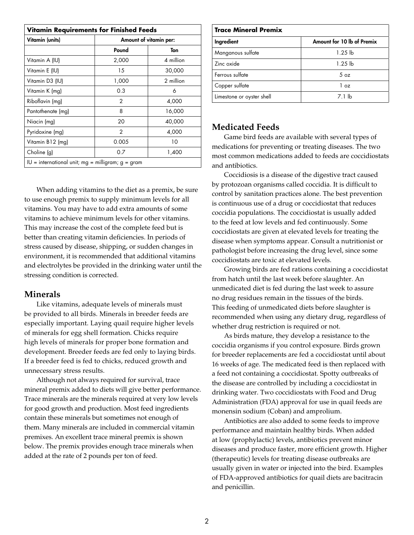| <b>Vitamin Requirements for Finished Feeds</b>      |                        |           |  |  |  |
|-----------------------------------------------------|------------------------|-----------|--|--|--|
| Vitamin (units)                                     | Amount of vitamin per: |           |  |  |  |
|                                                     | Pound                  | Ton       |  |  |  |
| Vitamin A (IU)                                      | 2,000                  | 4 million |  |  |  |
| Vitamin E (IU)                                      | 15                     | 30,000    |  |  |  |
| Vitamin D3 (IU)                                     | 1,000                  | 2 million |  |  |  |
| Vitamin K (mg)                                      | 0.3                    | 6         |  |  |  |
| Riboflavin (mg)                                     | 2                      | 4,000     |  |  |  |
| Pantothenate (mg)                                   | 8                      | 16,000    |  |  |  |
| Niacin (mg)                                         | 20                     | 40,000    |  |  |  |
| Pyridoxine (mg)                                     | $\mathcal{P}$          | 4,000     |  |  |  |
| Vitamin B12 (mg)                                    | 0.005                  | 10        |  |  |  |
| Choline (g)                                         | 0.7                    | 1,400     |  |  |  |
| $IU =$ international unit; mg = milligram; g = gram |                        |           |  |  |  |

When adding vitamins to the diet as a premix, be sure to use enough premix to supply minimum levels for all vitamins. You may have to add extra amounts of some vitamins to achieve minimum levels for other vitamins. This may increase the cost of the complete feed but is better than creating vitamin deficiencies. In periods of stress caused by disease, shipping, or sudden changes in environment, it is recommended that additional vitamins and electrolytes be provided in the drinking water until the stressing condition is corrected.

## **Minerals**

Like vitamins, adequate levels of minerals must be provided to all birds. Minerals in breeder feeds are especially important. Laying quail require higher levels of minerals for egg shell formation. Chicks require high levels of minerals for proper bone formation and development. Breeder feeds are fed only to laying birds. If a breeder feed is fed to chicks, reduced growth and unnecessary stress results.

Although not always required for survival, trace mineral premix added to diets will give better performance. Trace minerals are the minerals required at very low levels for good growth and production. Most feed ingredients contain these minerals but sometimes not enough of them. Many minerals are included in commercial vitamin premixes. An excellent trace mineral premix is shown below. The premix provides enough trace minerals when added at the rate of 2 pounds per ton of feed.

| <b>Trace Mineral Premix</b> |                            |  |  |  |
|-----------------------------|----------------------------|--|--|--|
| Ingredient                  | Amount for 10 lb of Premix |  |  |  |
| Manganous sulfate           | $1.25$ lb                  |  |  |  |
| Zinc oxide                  | $1.25$ lb                  |  |  |  |
| Ferrous sulfate             | 5 oz                       |  |  |  |
| Copper sulfate              | 1 oz                       |  |  |  |
| Limestone or oyster shell   | 7.1 lb                     |  |  |  |

## **Medicated Feeds**

Game bird feeds are available with several types of medications for preventing or treating diseases. The two most common medications added to feeds are coccidiostats and antibiotics.

Coccidiosis is a disease of the digestive tract caused by protozoan organisms called coccidia. It is difficult to control by sanitation practices alone. The best prevention is continuous use of a drug or coccidiostat that reduces coccidia populations. The coccidiostat is usually added to the feed at low levels and fed continuously. Some coccidiostats are given at elevated levels for treating the disease when symptoms appear. Consult a nutritionist or pathologist before increasing the drug level, since some coccidiostats are toxic at elevated levels.

Growing birds are fed rations containing a coccidiostat from hatch until the last week before slaughter. An unmedicated diet is fed during the last week to assure no drug residues remain in the tissues of the birds. This feeding of unmedicated diets before slaughter is recommended when using any dietary drug, regardless of whether drug restriction is required or not.

As birds mature, they develop a resistance to the coccidia organisms if you control exposure. Birds grown for breeder replacements are fed a coccidiostat until about 16 weeks of age. The medicated feed is then replaced with a feed not containing a coccidiostat. Spotty outbreaks of the disease are controlled by including a coccidiostat in drinking water. Two coccidiostats with Food and Drug Administration (FDA) approval for use in quail feeds are monensin sodium (Coban) and amprolium.

Antibiotics are also added to some feeds to improve performance and maintain healthy birds. When added at low (prophylactic) levels, antibiotics prevent minor diseases and produce faster, more efficient growth. Higher (therapeutic) levels for treating disease outbreaks are usually given in water or injected into the bird. Examples of FDA-approved antibiotics for quail diets are bacitracin and penicillin.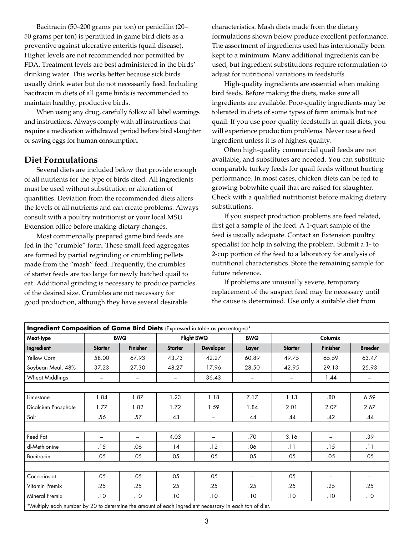Bacitracin (50–200 grams per ton) or penicillin (20– 50 grams per ton) is permitted in game bird diets as a preventive against ulcerative enteritis (quail disease). Higher levels are not recommended nor permitted by FDA. Treatment levels are best administered in the birds' drinking water. This works better because sick birds usually drink water but do not necessarily feed. Including bacitracin in diets of all game birds is recommended to maintain healthy, productive birds.

When using any drug, carefully follow all label warnings and instructions. Always comply with all instructions that require a medication withdrawal period before bird slaughter or saving eggs for human consumption.

### **Diet Formulations**

Several diets are included below that provide enough of all nutrients for the type of birds cited. All ingredients must be used without substitution or alteration of quantities. Deviation from the recommended diets alters the levels of all nutrients and can create problems. Always consult with a poultry nutritionist or your local MSU Extension office before making dietary changes.

Most commercially prepared game bird feeds are fed in the "crumble" form. These small feed aggregates are formed by partial regrinding or crumbling pellets made from the "mash" feed. Frequently, the crumbles of starter feeds are too large for newly hatched quail to eat. Additional grinding is necessary to produce particles of the desired size. Crumbles are not necessary for good production, although they have several desirable

characteristics. Mash diets made from the dietary formulations shown below produce excellent performance. The assortment of ingredients used has intentionally been kept to a minimum. Many additional ingredients can be used, but ingredient substitutions require reformulation to adjust for nutritional variations in feedstuffs.

High-quality ingredients are essential when making bird feeds. Before making the diets, make sure all ingredients are available. Poor-quality ingredients may be tolerated in diets of some types of farm animals but not quail. If you use poor-quality feedstuffs in quail diets, you will experience production problems. Never use a feed ingredient unless it is of highest quality.

Often high-quality commercial quail feeds are not available, and substitutes are needed. You can substitute comparable turkey feeds for quail feeds without hurting performance. In most cases, chicken diets can be fed to growing bobwhite quail that are raised for slaughter. Check with a qualified nutritionist before making dietary substitutions.

If you suspect production problems are feed related, first get a sample of the feed. A 1-quart sample of the feed is usually adequate. Contact an Extension poultry specialist for help in solving the problem. Submit a 1- to 2-cup portion of the feed to a laboratory for analysis of nutritional characteristics. Store the remaining sample for future reference.

If problems are unusually severe, temporary replacement of the suspect feed may be necessary until the cause is determined. Use only a suitable diet from

| Ingredient Composition of Game Bird Diets (Expressed in table as percentages)*                        |                |                 |                          |                          |                          |                              |                          |                          |
|-------------------------------------------------------------------------------------------------------|----------------|-----------------|--------------------------|--------------------------|--------------------------|------------------------------|--------------------------|--------------------------|
| Meat-type                                                                                             | <b>BWQ</b>     |                 | <b>Flight BWQ</b>        |                          | <b>BWQ</b>               | <b>Coturnix</b>              |                          |                          |
| Ingredient                                                                                            | <b>Starter</b> | <b>Finisher</b> | <b>Starter</b>           | <b>Developer</b>         | Layer                    | <b>Starter</b>               | <b>Finisher</b>          | <b>Breeder</b>           |
| Yellow Corn                                                                                           | 58.00          | 67.93           | 43.73                    | 42.27                    | 60.89                    | 49.75                        | 65.59                    | 63.47                    |
| Soybean Meal, 48%                                                                                     | 37.23          | 27.30           | 48.27                    | 17.96                    | 28.50                    | 42.95                        | 29.13                    | 25.93                    |
| <b>Wheat Middlings</b>                                                                                | -              | -               | $\overline{\phantom{0}}$ | 36.43                    | $\overline{\phantom{m}}$ | $\qquad \qquad \blacksquare$ | 1.44                     | $\overline{\phantom{0}}$ |
|                                                                                                       |                |                 |                          |                          |                          |                              |                          |                          |
| Limestone                                                                                             | 1.84           | 1.87            | 1.23                     | 1.18                     | 7.17                     | 1.13                         | .80                      | 6.59                     |
| Dicalcium Phosphate                                                                                   | 1.77           | 1.82            | 1.72                     | 1.59                     | 1.84                     | 2.01                         | 2.07                     | 2.67                     |
| Salt                                                                                                  | .56            | .57             | .43                      | -                        | .44                      | .44                          | .42                      | .44                      |
|                                                                                                       |                |                 |                          |                          |                          |                              |                          |                          |
| Feed Fat                                                                                              |                | $\qquad \qquad$ | 4.03                     | $\overline{\phantom{0}}$ | .70                      | 3.16                         | $\overline{\phantom{0}}$ | .39                      |
| dl-Methionine                                                                                         | . 15           | .06             | .14                      | .12                      | .06                      | .11                          | . 15                     | .11                      |
| <b>Bacitracin</b>                                                                                     | .05            | .05             | .05                      | .05                      | .05                      | .05                          | .05                      | .05                      |
|                                                                                                       |                |                 |                          |                          |                          |                              |                          |                          |
| Coccidiostat                                                                                          | .05            | .05             | .05                      | .05                      |                          | .05                          | $-$                      | $\qquad \qquad =$        |
| Vitamin Premix                                                                                        | .25            | .25             | .25                      | .25                      | .25                      | .25                          | .25                      | .25                      |
| Mineral Premix                                                                                        | .10            | .10             | .10                      | .10                      | .10                      | .10                          | .10                      | .10                      |
| *Multiply each number by 20 to determine the amount of each ingredient necessary in each ton of diet. |                |                 |                          |                          |                          |                              |                          |                          |